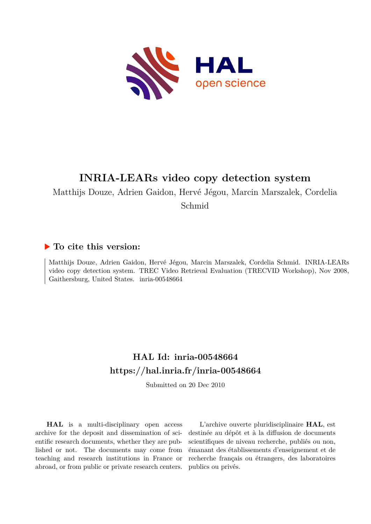

# **INRIA-LEARs video copy detection system**

Matthijs Douze, Adrien Gaidon, Hervé Jégou, Marcin Marszalek, Cordelia

Schmid

# **To cite this version:**

Matthijs Douze, Adrien Gaidon, Hervé Jégou, Marcin Marszalek, Cordelia Schmid. INRIA-LEARs video copy detection system. TREC Video Retrieval Evaluation (TRECVID Workshop), Nov 2008, Gaithersburg, United States. inria-00548664

# **HAL Id: inria-00548664 <https://hal.inria.fr/inria-00548664>**

Submitted on 20 Dec 2010

**HAL** is a multi-disciplinary open access archive for the deposit and dissemination of scientific research documents, whether they are published or not. The documents may come from teaching and research institutions in France or abroad, or from public or private research centers.

L'archive ouverte pluridisciplinaire **HAL**, est destinée au dépôt et à la diffusion de documents scientifiques de niveau recherche, publiés ou non, émanant des établissements d'enseignement et de recherche français ou étrangers, des laboratoires publics ou privés.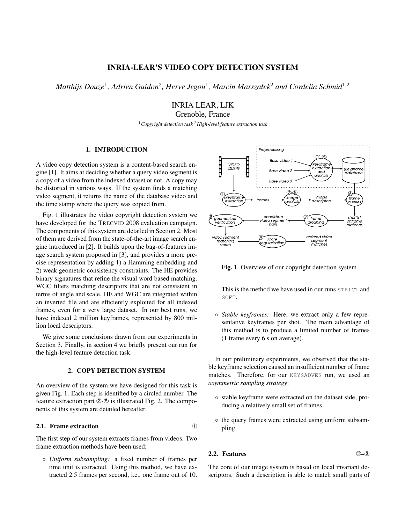# INRIA-LEAR'S VIDEO COPY DETECTION SYSTEM

 $\emph{Mathijs Douze}^{1}$ , Adrien Gaidon<sup>2</sup>, Herve Jegou<sup>1</sup>, Marcin Marszałek<sup>2</sup> and Cordelia Schmid<sup>1,2</sup>

INRIA LEAR, LJK

Grenoble, France

<sup>1</sup>*Copyright detection task* <sup>2</sup>*High-level feature extraction task*

### 1. INTRODUCTION

A video copy detection system is a content-based search engine [1]. It aims at deciding whether a query video segment is a copy of a video from the indexed dataset or not. A copy may be distorted in various ways. If the system finds a matching video segment, it returns the name of the database video and the time stamp where the query was copied from.

Fig. 1 illustrates the video copyright detection system we have developed for the TRECVID 2008 evaluation campaign. The components of this system are detailed in Section 2. Most of them are derived from the state-of-the-art image search engine introduced in [2]. It builds upon the bag-of-features image search system proposed in [3], and provides a more precise representation by adding 1) a Hamming embedding and 2) weak geometric consistency constraints. The HE provides binary signatures that refine the visual word based matching. WGC filters matching descriptors that are not consistent in terms of angle and scale. HE and WGC are integrated within an inverted file and are efficiently exploited for all indexed frames, even for a very large dataset. In our best runs, we have indexed 2 million keyframes, represented by 800 million local descriptors.

We give some conclusions drawn from our experiments in Section 3. Finally, in section 4 we briefly present our run for the high-level feature detection task.

### 2. COPY DETECTION SYSTEM

An overview of the system we have designed for this task is given Fig. 1. Each step is identified by a circled number. The feature extraction part ②-⑤ is illustrated Fig. 2. The components of this system are detailed hereafter.

## 2.1. Frame extraction ➀

The first step of our system extracts frames from videos. Two frame extraction methods have been used:

◦ *Uniform subsampling:* a fixed number of frames per time unit is extracted. Using this method, we have extracted 2.5 frames per second, i.e., one frame out of 10.



Fig. 1. Overview of our copyright detection system

This is the method we have used in our runs STRICT and SOFT.

◦ *Stable keyframes:* Here, we extract only a few representative keyframes per shot. The main advantage of this method is to produce a limited number of frames (1 frame every 6 s on average).

In our preliminary experiments, we observed that the stable keyframe selection caused an insufficient number of frame matches. Therefore, for our KEYSADVES run, we used an *asymmetric sampling strategy*:

- stable keyframe were extracted on the dataset side, producing a relatively small set of frames.
- the query frames were extracted using uniform subsampling.

#### 2.2. Features ➁–➂

The core of our image system is based on local invariant descriptors. Such a description is able to match small parts of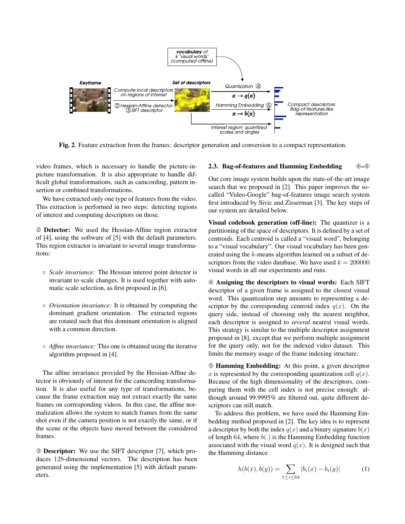

Fig. 2. Feature extraction from the frames: descriptor generation and conversion to a compact representation.

video frames, which is necessary to handle the picture-inpicture transformation. It is also appropriate to handle difficult global transformations, such as camcording, pattern insertion or combined transformations.

We have extracted only one type of features from the video. This extraction is performed in two steps: detecting regions of interest and computing descriptors on those.

➁ Detector: We used the Hessian-Affine region extractor of [4], using the software of [5] with the default parameters. This region extractor is invariant to several image transformations:

- *Scale invariance:* The Hessian interest point detector is invariant to scale changes. It is used together with automatic scale selection, as first proposed in [6].
- *Orientation invariance:* It is obtained by computing the dominant gradient orientation. The extracted regions are rotated such that this dominant orientation is aligned with a common direction.
- *Affine invariance:* This one is obtained using the iterative algorithm proposed in [4].

The affine invariance provided by the Hessian-Affine detector is obviously of interest for the camcording transformation. It is also useful for any type of transformations, because the frame extraction may not extract exactly the same frames on corresponding videos. In this case, the affine normalization allows the system to match frames from the same shot even if the camera position is not exactly the same, or if the scene or the objects have moved between the considered frames.

➂ Descriptor: We use the SIFT descriptor [7], which produces 128-dimensional vectors. The description has been generated using the implementation [5] with default parameters.

#### 2.3. Bag-of-features and Hamming Embedding  $\qquad \quad \circledA - \circledB$

Our core image system builds upon the state-of-the-art image search that we proposed in [2]. This paper improves the socalled "Video-Google" bag-of-features image search system first introduced by Sivic and Zisserman [3]. The key steps of our system are detailed below.

Visual codebook generation (off-line): The quantizer is a partitioning of the space of descriptors. It is defined by a set of centroids. Each centroid is called a "visual word", belonging to a "visual vocabulary". Our visual vocabulary has been generated using the k-means algorithm learned on a subset of descriptors from the video database. We have used  $k = 200000$ visual words in all our experiments and runs.

➃ Assigning the descriptors to visual words: Each SIFT descriptor of a given frame is assigned to the closest visual word. This quantization step amounts to representing a descriptor by the corresponding centroid index  $q(x)$ . On the query side, instead of choosing only the nearest neighbor, each descriptor is assigned to *several* nearest visual words. This strategy is similar to the multiple descriptor assignment proposed in [8], except that we perform multiple assignment for the query only, not for the indexed video dataset. This limits the memory usage of the frame indexing structure.

➄ Hamming Embedding: At this point, a given descriptor x is represented by the corresponding quantization cell  $q(x)$ . Because of the high dimensionality of the descriptors, comparing them with the cell index is not precise enough: although around 99.9995% are filtered out, quite different descriptors can still match.

To address this problem, we have used the Hamming Embedding method proposed in [2]. The key idea is to represent a descriptor by both the index  $q(x)$  and a binary signature  $b(x)$ of length 64, where  $b(.)$  is the Hamming Embedding function associated with the visual word  $q(x)$ . It is designed such that the Hamming distance

$$
h(b(x), b(y)) = \sum_{1 \le i \le 64} |b_i(x) - b_i(y)| \tag{1}
$$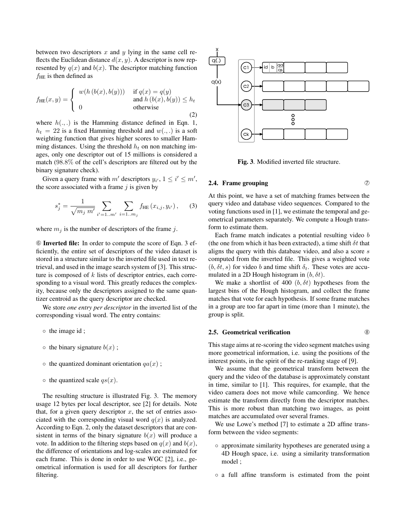between two descriptors x and y lying in the same cell reflects the Euclidean distance  $d(x, y)$ . A descriptor is now represented by  $q(x)$  and  $b(x)$ . The descriptor matching function  $f_{\text{HE}}$  is then defined as

$$
f_{\text{HE}}(x,y) = \begin{cases} w(h(b(x),b(y))) & \text{if } q(x) = q(y) \\ 0 & \text{and } h(b(x),b(y)) \le h_t \\ 0 & \text{otherwise} \end{cases}
$$
 (2)

where  $h(.,.)$  is the Hamming distance defined in Eqn. 1,  $h_t = 22$  is a fixed Hamming threshold and  $w(.,.)$  is a soft weighting function that gives higher scores to smaller Hamming distances. Using the threshold  $h_t$  on non matching images, only one descriptor out of 15 millions is considered a match (98.8% of the cell's descriptors are filtered out by the binary signature check).

Given a query frame with m' descriptors  $y_{i'}$ ,  $1 \le i' \le m'$ , the score associated with a frame  $j$  is given by

$$
s_j^* = \frac{1}{\sqrt{m_j \ m'}} \sum_{i'=1..m'} \sum_{i=1..m_j} f_{\text{HE}}(x_{i,j}, y_{i'}), \quad (3)
$$

where  $m_j$  is the number of descriptors of the frame j.

➅ Inverted file: In order to compute the score of Eqn. 3 efficiently, the entire set of descriptors of the video dataset is stored in a structure similar to the inverted file used in text retrieval, and used in the image search system of [3]. This structure is composed of  $k$  lists of descriptor entries, each corresponding to a visual word. This greatly reduces the complexity, because only the descriptors assigned to the same quantizer centroid as the query descriptor are checked.

We store *one entry per descriptor* in the inverted list of the corresponding visual word. The entry contains:

- the image id ;
- $\circ$  the binary signature  $b(x)$ ;
- $\circ$  the quantized dominant orientation  $qa(x)$ ;
- $\circ$  the quantized scale  $qs(x)$ .

The resulting structure is illustrated Fig. 3. The memory usage 12 bytes per local descriptor, see [2] for details. Note that, for a given query descriptor  $x$ , the set of entries associated with the corresponding visual word  $q(x)$  is analyzed. According to Eqn. 2, only the dataset descriptors that are consistent in terms of the binary signature  $b(x)$  will produce a vote. In addition to the filtering steps based on  $q(x)$  and  $b(x)$ , the difference of orientations and log-scales are estimated for each frame. This is done in order to use WGC [2], i.e., geometrical information is used for all descriptors for further filtering.



Fig. 3. Modified inverted file structure.

#### 2.4. Frame grouping  $\oslash$

At this point, we have a set of matching frames between the query video and database video sequences. Compared to the voting functions used in [1], we estimate the temporal and geometrical parameters separately. We compute a Hough transform to estimate them.

Each frame match indicates a potential resulting video b (the one from which it has been extracted), a time shift  $\delta t$  that aligns the query with this database video, and also a score s computed from the inverted file. This gives a weighted vote  $(b, \delta t, s)$  for video b and time shift  $\delta_t$ . These votes are accumulated in a 2D Hough histogram in  $(b, \delta t)$ .

We make a shortlist of 400  $(b, \delta t)$  hypotheses from the largest bins of the Hough histogram, and collect the frame matches that vote for each hypothesis. If some frame matches in a group are too far apart in time (more than 1 minute), the group is split.

#### 2.5. Geometrical verification  $\qquad \qquad \circledR}$

This stage aims at re-scoring the video segment matches using more geometrical information, i.e. using the positions of the interest points, in the spirit of the re-ranking stage of [9].

We assume that the geometrical transform between the query and the video of the database is approximately constant in time, similar to [1]. This requires, for example, that the video camera does not move while camcording. We hence estimate the transform directly from the descriptor matches. This is more robust than matching two images, as point matches are accumulated over several frames.

We use Lowe's method [7] to estimate a 2D affine transform between the video segments:

- approximate similarity hypotheses are generated using a 4D Hough space, i.e. using a similarity transformation model ;
- a full affine transform is estimated from the point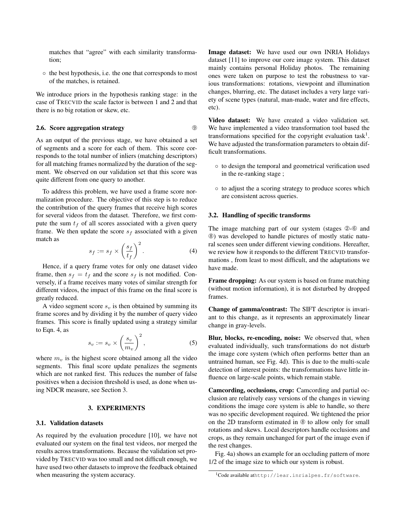matches that "agree" with each similarity transformation;

◦ the best hypothesis, i.e. the one that corresponds to most of the matches, is retained.

We introduce priors in the hypothesis ranking stage: in the case of TRECVID the scale factor is between 1 and 2 and that there is no big rotation or skew, etc.

#### 2.6. Score aggregation strategy  $\qquad \qquad \circ$

As an output of the previous stage, we have obtained a set of segments and a score for each of them. This score corresponds to the total number of inliers (matching descriptors) for all matching frames normalized by the duration of the segment. We observed on our validation set that this score was quite different from one query to another.

To address this problem, we have used a frame score normalization procedure. The objective of this step is to reduce the contribution of the query frames that receive high scores for several videos from the dataset. Therefore, we first compute the sum  $t_f$  of all scores associated with a given query frame. We then update the score  $s_f$  associated with a given match as

$$
s_f := s_f \times \left(\frac{s_f}{t_f}\right)^2.
$$
 (4)

Hence, if a query frame votes for only one dataset video frame, then  $s_f = t_f$  and the score  $s_f$  is not modified. Conversely, if a frame receives many votes of similar strength for different videos, the impact of this frame on the final score is greatly reduced.

A video segment score  $s_v$  is then obtained by summing its frame scores and by dividing it by the number of query video frames. This score is finally updated using a strategy similar to Eqn. 4, as

$$
s_v := s_v \times \left(\frac{s_v}{m_v}\right)^2,\tag{5}
$$

where  $m<sub>v</sub>$  is the highest score obtained among all the video segments. This final score update penalizes the segments which are not ranked first. This reduces the number of false positives when a decision threshold is used, as done when using NDCR measure, see Section 3.

#### 3. EXPERIMENTS

#### 3.1. Validation datasets

As required by the evaluation procedure [10], we have not evaluated our system on the final test videos, nor merged the results across transformations. Because the validation set provided by TRECVID was too small and not difficult enough, we have used two other datasets to improve the feedback obtained when measuring the system accuracy.

Image dataset: We have used our own INRIA Holidays dataset [11] to improve our core image system. This dataset mainly contains personal Holiday photos. The remaining ones were taken on purpose to test the robustness to various transformations: rotations, viewpoint and illumination changes, blurring, etc. The dataset includes a very large variety of scene types (natural, man-made, water and fire effects, etc).

Video dataset: We have created a video validation set. We have implemented a video transformation tool based the transformations specified for the copyright evaluation task<sup>1</sup>. We have adjusted the transformation parameters to obtain difficult transformations.

- to design the temporal and geometrical verification used in the re-ranking stage ;
- to adjust the a scoring strategy to produce scores which are consistent across queries.

#### 3.2. Handling of specific transforms

The image matching part of our system (stages  $@$ - $@$  and ➇) was developed to handle pictures of mostly static natural scenes seen under different viewing conditions. Hereafter, we review how it responds to the different TRECVID transformations , from least to most difficult, and the adaptations we have made.

Frame dropping: As our system is based on frame matching (without motion information), it is not disturbed by dropped frames.

Change of gamma/contrast: The SIFT descriptor is invariant to this change, as it represents an approximately linear change in gray-levels.

Blur, blocks, re-encoding, noise: We observed that, when evaluated individually, such transformations do not disturb the image core system (which often performs better than an untrained human, see Fig. 4d). This is due to the multi-scale detection of interest points: the transformations have little influence on large-scale points, which remain stable.

Camcording, occlusions, crop: Camcording and partial occlusion are relatively easy versions of the changes in viewing conditions the image core system is able to handle, so there was no specific development required. We tightened the prior on the 2D transform estimated in ➇ to allow only for small rotations and skews. Local descriptors handle occlusions and crops, as they remain unchanged for part of the image even if the rest changes.

Fig. 4a) shows an example for an occluding pattern of more 1/2 of the image size to which our system is robust.

<sup>1</sup>Code available athttp://lear.inrialpes.fr/software.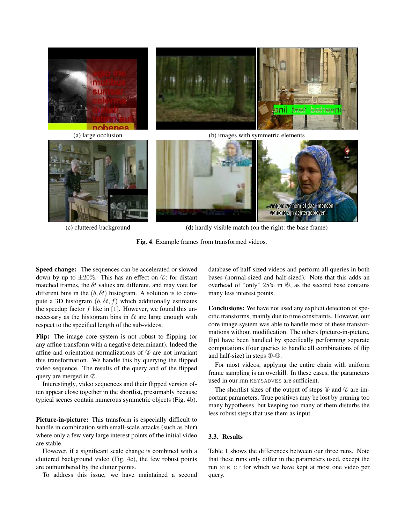





(c) cluttered background (d) hardly visible match (on the right: the base frame)

Fig. 4. Example frames from transformed videos.

Speed change: The sequences can be accelerated or slowed down by up to  $\pm 20\%$ . This has an effect on  $\oslash$ : for distant matched frames, the  $\delta t$  values are different, and may vote for different bins in the  $(b, \delta t)$  histogram. A solution is to compute a 3D histogram  $(b, \delta t, f)$  which additionally estimates the speedup factor  $f$  like in [1]. However, we found this unnecessary as the histogram bins in  $\delta t$  are large enough with respect to the specified length of the sub-videos.

Flip: The image core system is not robust to flipping (or any affine transform with a negative determinant). Indeed the affine and orientation normalizations of ➁ are not invariant this transformation. We handle this by querying the flipped video sequence. The results of the query and of the flipped query are merged in  $\oslash$ .

Interestingly, video sequences and their flipped version often appear close together in the shortlist, presumably because typical scenes contain numerous symmetric objects (Fig. 4b).

Picture-in-picture: This transform is especially difficult to handle in combination with small-scale attacks (such as blur) where only a few very large interest points of the initial video are stable.

However, if a significant scale change is combined with a cluttered background video (Fig. 4c), the few robust points are outnumbered by the clutter points.

To address this issue, we have maintained a second

database of half-sized videos and perform all queries in both bases (normal-sized and half-sized). Note that this adds an overhead of "only" 25% in ➅, as the second base contains many less interest points.

Conclusions: We have not used any explicit detection of specific transforms, mainly due to time constraints. However, our core image system was able to handle most of these transformations without modification. The others (picture-in-picture, flip) have been handled by specifically performing separate computations (four queries to handle all combinations of flip and half-size) in steps ➀-➅.

For most videos, applying the entire chain with uniform frame sampling is an overkill. In these cases, the parameters used in our run KEYSADVES are sufficient.

The shortlist sizes of the output of steps  $\circledcirc$  and  $\circledcirc$  are important parameters. True positives may be lost by pruning too many hypotheses, but keeping too many of them disturbs the less robust steps that use them as input.

#### 3.3. Results

Table 1 shows the differences between our three runs. Note that these runs only differ in the parameters used, except the run STRICT for which we have kept at most one video per query.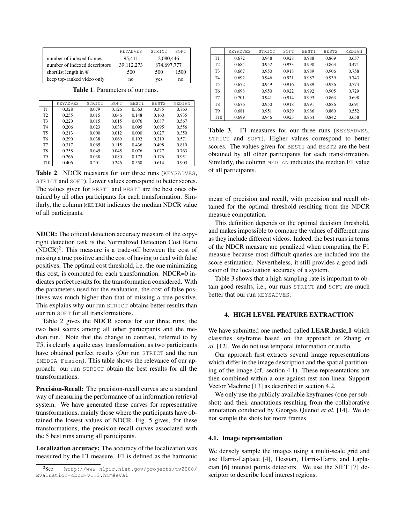|                                    | <b>KEYADVES</b> | STRICT      | SOFT |
|------------------------------------|-----------------|-------------|------|
| number of indexed frames           | 95.411          | 2,080,446   |      |
| number of indexed descriptors      | 39.112.273      | 874,697,777 |      |
| shortlist length in $\circledcirc$ | 500             | 500         | 1500 |
| keep top-ranked video only         | no              | ves         | no   |

Table 1. Parameters of our runs.

|                 | <b>KEYADVES</b> | STRICT | SOFT  | BEST1 | BEST <sub>2</sub> | MEDIAN |
|-----------------|-----------------|--------|-------|-------|-------------------|--------|
| T1              | 0.328           | 0.079  | 0.126 | 0.363 | 0.385             | 0.763  |
| T <sub>2</sub>  | 0.255           | 0.015  | 0.046 | 0.148 | 0.160             | 0.935  |
| T3              | 0.220           | 0.015  | 0.015 | 0.076 | 0.087             | 0.567  |
| T4              | 0.206           | 0.023  | 0.038 | 0.095 | 0.095             | 0.556  |
| T <sub>5</sub>  | 0.213           | 0.000  | 0.012 | 0.000 | 0.027             | 0.350  |
| Т6              | 0.290           | 0.038  | 0.069 | 0.192 | 0.219             | 0.571  |
| T7              | 0.317           | 0.065  | 0.115 | 0.436 | 0.498             | 0.810  |
| T <sub>8</sub>  | 0.258           | 0.045  | 0.045 | 0.076 | 0.077             | 0.763  |
| T9              | 0.266           | 0.038  | 0.080 | 0.173 | 0.176             | 0.951  |
| T <sub>10</sub> | 0.406           | 0.201  | 0.246 | 0.558 | 0.614             | 0.903  |

Table 2. NDCR measures for our three runs (KEYSADVES, STRICT and SOFT). Lower values correspond to better scores. The values given for BEST1 and BEST2 are the best ones obtained by all other participants for each transformation. Similarly, the column MEDIAN indicates the median NDCR value of all participants.

NDCR: The official detection accuracy measure of the copyright detection task is the Normalized Detection Cost Ratio  $(NDCR)^2$ . This measure is a trade-off between the cost of missing a true positive and the cost of having to deal with false positives. The optimal cost threshold, i.e. the one minimizing this cost, is computed for each transformation. NDCR=0 indicates perfect results for the transformation considered. With the parameters used for the evaluation, the cost of false positives was much higher than that of missing a true positive. This explains why our run STRICT obtains better results than our run SOFT for all transformations.

Table 2 gives the NDCR scores for our three runs, the two best scores among all other participants and the median run. Note that the change in contrast, referred to by T5, is clearly a quite easy transformation, as two participants have obtained perfect results (Our run STRICT and the run IMEDIA-Fusion). This table shows the relevance of our approach: our run STRICT obtain the best results for all the transformations.

Precision-Recall: The precision-recall curves are a standard way of measuring the performance of an information retrieval system. We have generated these curves for representative transformations, mainly those where the participants have obtained the lowest values of NDCR. Fig. 5 gives, for these transformations, the precision-recall curves associated with the 5 best runs among all participants.

Localization accuracy: The accuracy of the localization was measured by the F1 measure. F1 is defined as the harmonic

|                 | <b>KEYADVES</b> | STRICT | SOFT  | BEST1 | BEST <sub>2</sub> | MEDIAN |
|-----------------|-----------------|--------|-------|-------|-------------------|--------|
| T1              | 0.672           | 0.948  | 0.928 | 0.988 | 0.869             | 0.657  |
| T2              | 0.684           | 0.952  | 0.933 | 0.990 | 0.863             | 0.471  |
| T <sub>3</sub>  | 0.667           | 0.950  | 0.918 | 0.989 | 0.906             | 0.758  |
| T <sub>4</sub>  | 0.692           | 0.946  | 0.921 | 0.987 | 0.939             | 0.743  |
| T <sub>5</sub>  | 0.672           | 0.949  | 0.916 | 0.989 | 0.936             | 0.774  |
| T6              | 0.698           | 0.950  | 0.922 | 0.992 | 0.905             | 0.729  |
| T7              | 0.701           | 0.941  | 0.914 | 0.993 | 0.863             | 0.698  |
| T <sub>8</sub>  | 0.676           | 0.950  | 0.918 | 0.991 | 0.886             | 0.691  |
| T <sub>9</sub>  | 0.681           | 0.951  | 0.929 | 0.986 | 0.860             | 0.552  |
| T <sub>10</sub> | 0.699           | 0.946  | 0.923 | 0.864 | 0.842             | 0.658  |

Table 3. F1 measures for our three runs (KEYSADVES, STRICT and SOFT). Higher values correspond to better scores. The values given for BEST1 and BEST2 are the best obtained by all other participants for each transformation. Similarly, the column MEDIAN indicates the median F1 value of all participants.

mean of precision and recall, with precision and recall obtained for the optimal threshold resulting from the NDCR measure computation.

This definition depends on the optimal decision threshold, and makes impossible to compare the values of different runs as they include different videos. Indeed, the best runs in terms of the NDCR measure are penalized when computing the F1 measure because most difficult queries are included into the score estimation. Nevertheless, it still provides a good indicator of the localization accuracy of a system.

Table 3 shows that a high sampling rate is important to obtain good results, i.e., our runs STRICT and SOFT are much better that our run KEYSADVES.

#### 4. HIGH LEVEL FEATURE EXTRACTION

We have submitted one method called LEAR basic 1 which classifies keyframe based on the approach of Zhang *et al.* [12]. We do not use temporal information or audio.

Our approach first extracts several image representations which differ in the image description and the spatial partitioning of the image (cf. section 4.1). These representations are then combined within a one-against-rest non-linear Support Vector Machine [13] as described in section 4.2.

We only use the publicly available keyframes (one per subshot) and their annotations resulting from the collaborative annotation conducted by Georges Quenot *et al.* [14]. We do not sample the shots for more frames.

#### 4.1. Image representation

We densely sample the images using a multi-scale grid and use Harris-Laplace [4], Hessian, Harris-Harris and Laplacian [6] interest points detectors. We use the SIFT [7] descriptor to describe local interest regions.

<sup>2</sup>See http://www-nlpir.nist.gov/projects/tv2008/ Evaluation-cbcd-v1.3.htm#eval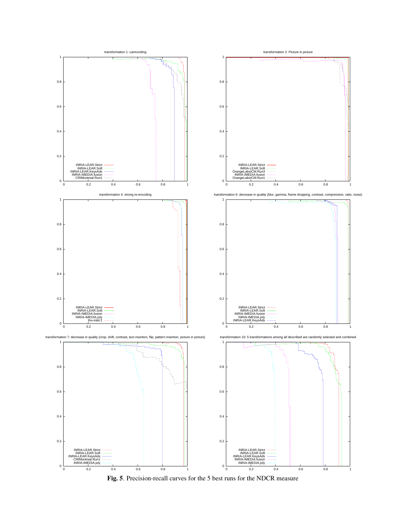

Fig. 5. Precision-recall curves for the 5 best runs for the NDCR measure